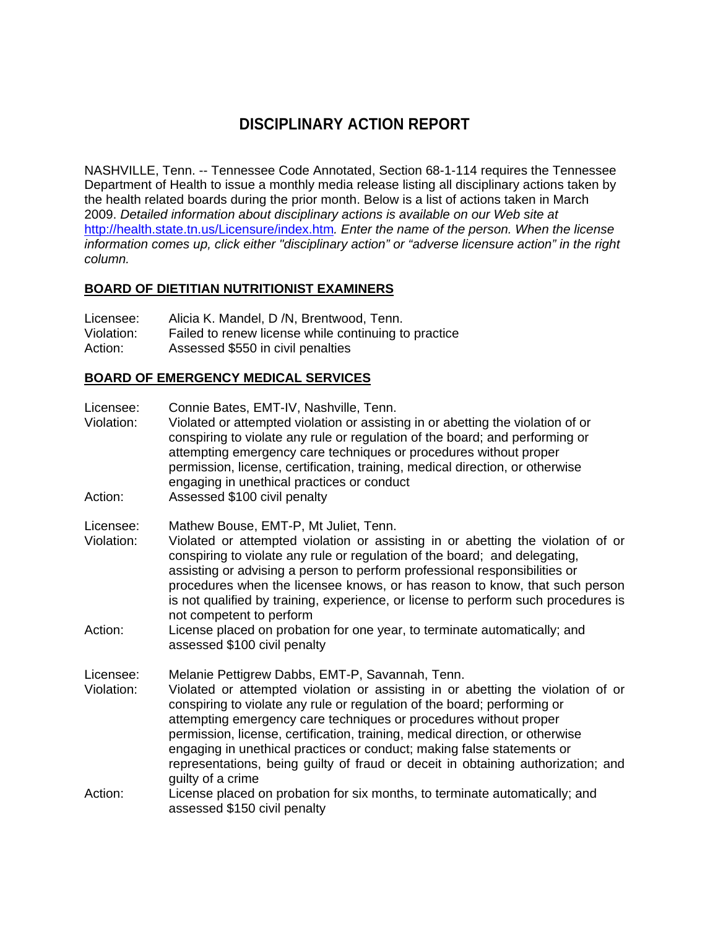# **DISCIPLINARY ACTION REPORT**

NASHVILLE, Tenn. -- Tennessee Code Annotated, Section 68-1-114 requires the Tennessee Department of Health to issue a monthly media release listing all disciplinary actions taken by the health related boards during the prior month. Below is a list of actions taken in March 2009. *Detailed information about disciplinary actions is available on our Web site at*  http://health.state.tn.us/Licensure/index.htm*. Enter the name of the person. When the license information comes up, click either "disciplinary action" or "adverse licensure action" in the right column.* 

### **BOARD OF DIETITIAN NUTRITIONIST EXAMINERS**

| Licensee:  | Alicia K. Mandel, D /N, Brentwood, Tenn.             |
|------------|------------------------------------------------------|
| Violation: | Failed to renew license while continuing to practice |
| Action:    | Assessed \$550 in civil penalties                    |

### **BOARD OF EMERGENCY MEDICAL SERVICES**

| Licensee:<br>Violation:<br>Action: | Connie Bates, EMT-IV, Nashville, Tenn.<br>Violated or attempted violation or assisting in or abetting the violation of or<br>conspiring to violate any rule or regulation of the board; and performing or<br>attempting emergency care techniques or procedures without proper<br>permission, license, certification, training, medical direction, or otherwise<br>engaging in unethical practices or conduct<br>Assessed \$100 civil penalty                                                                                                                      |
|------------------------------------|--------------------------------------------------------------------------------------------------------------------------------------------------------------------------------------------------------------------------------------------------------------------------------------------------------------------------------------------------------------------------------------------------------------------------------------------------------------------------------------------------------------------------------------------------------------------|
| Licensee:<br>Violation:<br>Action: | Mathew Bouse, EMT-P, Mt Juliet, Tenn.<br>Violated or attempted violation or assisting in or abetting the violation of or<br>conspiring to violate any rule or regulation of the board; and delegating,<br>assisting or advising a person to perform professional responsibilities or<br>procedures when the licensee knows, or has reason to know, that such person<br>is not qualified by training, experience, or license to perform such procedures is<br>not competent to perform<br>License placed on probation for one year, to terminate automatically; and |
|                                    | assessed \$100 civil penalty                                                                                                                                                                                                                                                                                                                                                                                                                                                                                                                                       |
| Licensee:<br>Violation:            | Melanie Pettigrew Dabbs, EMT-P, Savannah, Tenn.<br>Violated or attempted violation or assisting in or abetting the violation of or<br>conspiring to violate any rule or regulation of the board; performing or<br>attempting emergency care techniques or procedures without proper<br>permission, license, certification, training, medical direction, or otherwise<br>engaging in unethical practices or conduct; making false statements or<br>representations, being guilty of fraud or deceit in obtaining authorization; and<br>guilty of a crime            |
| Action:                            | License placed on probation for six months, to terminate automatically; and<br>assessed \$150 civil penalty                                                                                                                                                                                                                                                                                                                                                                                                                                                        |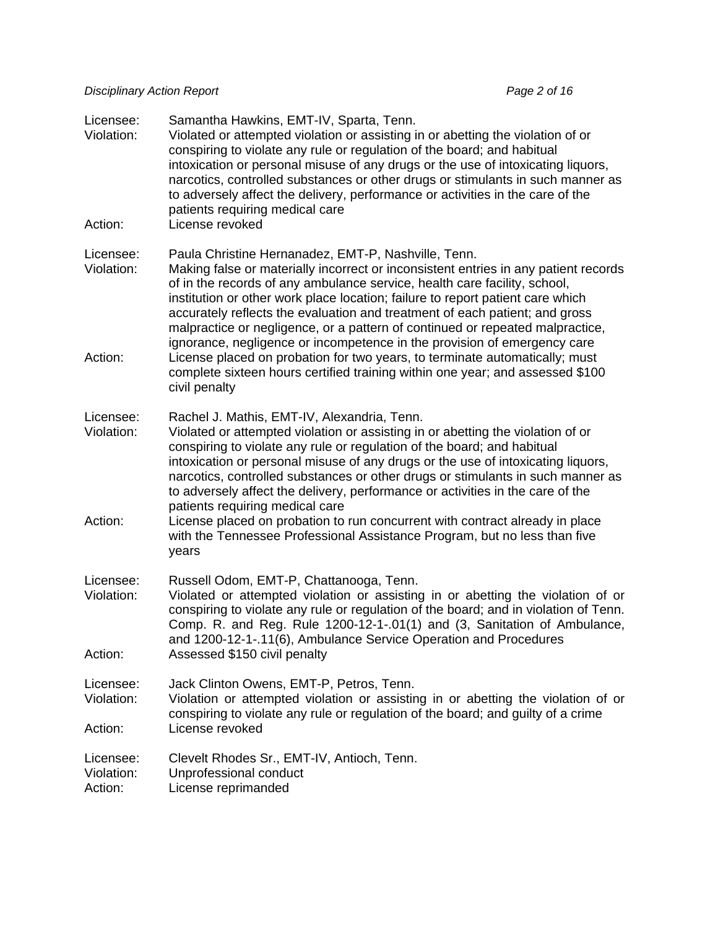*Disciplinary Action Report Page 2 of 16 Page 2 of 16* 

| Licensee:<br>Violation:<br>Action: | Samantha Hawkins, EMT-IV, Sparta, Tenn.<br>Violated or attempted violation or assisting in or abetting the violation of or<br>conspiring to violate any rule or regulation of the board; and habitual<br>intoxication or personal misuse of any drugs or the use of intoxicating liquors,<br>narcotics, controlled substances or other drugs or stimulants in such manner as<br>to adversely affect the delivery, performance or activities in the care of the<br>patients requiring medical care<br>License revoked                                                                                                                                               |
|------------------------------------|--------------------------------------------------------------------------------------------------------------------------------------------------------------------------------------------------------------------------------------------------------------------------------------------------------------------------------------------------------------------------------------------------------------------------------------------------------------------------------------------------------------------------------------------------------------------------------------------------------------------------------------------------------------------|
|                                    |                                                                                                                                                                                                                                                                                                                                                                                                                                                                                                                                                                                                                                                                    |
| Licensee:<br>Violation:            | Paula Christine Hernanadez, EMT-P, Nashville, Tenn.<br>Making false or materially incorrect or inconsistent entries in any patient records<br>of in the records of any ambulance service, health care facility, school,<br>institution or other work place location; failure to report patient care which<br>accurately reflects the evaluation and treatment of each patient; and gross<br>malpractice or negligence, or a pattern of continued or repeated malpractice,<br>ignorance, negligence or incompetence in the provision of emergency care                                                                                                              |
| Action:                            | License placed on probation for two years, to terminate automatically; must<br>complete sixteen hours certified training within one year; and assessed \$100<br>civil penalty                                                                                                                                                                                                                                                                                                                                                                                                                                                                                      |
| Licensee:<br>Violation:<br>Action: | Rachel J. Mathis, EMT-IV, Alexandria, Tenn.<br>Violated or attempted violation or assisting in or abetting the violation of or<br>conspiring to violate any rule or regulation of the board; and habitual<br>intoxication or personal misuse of any drugs or the use of intoxicating liquors,<br>narcotics, controlled substances or other drugs or stimulants in such manner as<br>to adversely affect the delivery, performance or activities in the care of the<br>patients requiring medical care<br>License placed on probation to run concurrent with contract already in place<br>with the Tennessee Professional Assistance Program, but no less than five |
|                                    | years                                                                                                                                                                                                                                                                                                                                                                                                                                                                                                                                                                                                                                                              |
| Licensee:<br>Violation:            | Russell Odom, EMT-P, Chattanooga, Tenn.<br>Violated or attempted violation or assisting in or abetting the violation of or<br>conspiring to violate any rule or regulation of the board; and in violation of Tenn.<br>Comp. R. and Reg. Rule 1200-12-1-.01(1) and (3, Sanitation of Ambulance,<br>and 1200-12-1-.11(6), Ambulance Service Operation and Procedures                                                                                                                                                                                                                                                                                                 |
| Action:                            | Assessed \$150 civil penalty                                                                                                                                                                                                                                                                                                                                                                                                                                                                                                                                                                                                                                       |
| Licensee:<br>Violation:<br>Action: | Jack Clinton Owens, EMT-P, Petros, Tenn.<br>Violation or attempted violation or assisting in or abetting the violation of or<br>conspiring to violate any rule or regulation of the board; and guilty of a crime<br>License revoked                                                                                                                                                                                                                                                                                                                                                                                                                                |
| Licensee:<br>Violation:<br>Action: | Clevelt Rhodes Sr., EMT-IV, Antioch, Tenn.<br>Unprofessional conduct<br>License reprimanded                                                                                                                                                                                                                                                                                                                                                                                                                                                                                                                                                                        |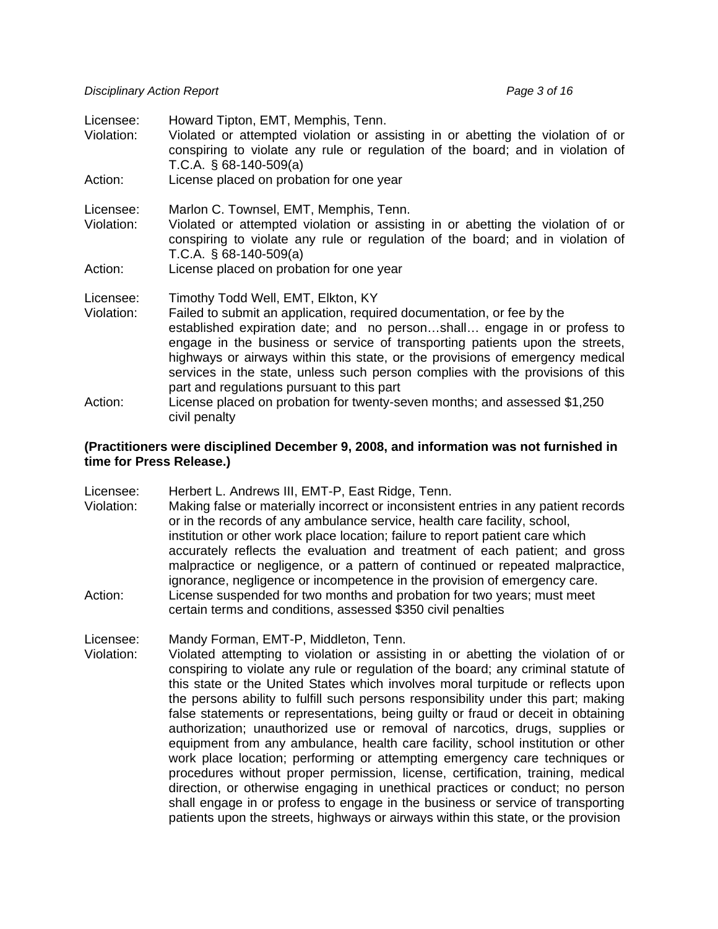| Licensee:               | Howard Tipton, EMT, Memphis, Tenn.                                                                                                                                                                                                              |
|-------------------------|-------------------------------------------------------------------------------------------------------------------------------------------------------------------------------------------------------------------------------------------------|
| Violation:              | Violated or attempted violation or assisting in or abetting the violation of or<br>conspiring to violate any rule or regulation of the board; and in violation of<br>T.C.A. $\S$ 68-140-509(a)                                                  |
| Action:                 | License placed on probation for one year                                                                                                                                                                                                        |
| Licensee:               | Marlon C. Townsel, EMT, Memphis, Tenn.                                                                                                                                                                                                          |
| Violation:              | Violated or attempted violation or assisting in or abetting the violation of or<br>conspiring to violate any rule or regulation of the board; and in violation of<br>T.C.A. $\S$ 68-140-509(a)                                                  |
| Action:                 | License placed on probation for one year                                                                                                                                                                                                        |
| Licensee:<br>Violation: | Timothy Todd Well, EMT, Elkton, KY<br>Failed to submit an application, required documentation, or fee by the<br>established expiration date; and no personshall engage in or profess to                                                         |
|                         | engage in the business or service of transporting patients upon the streets,<br>highways or airways within this state, or the provisions of emergency medical<br>services in the state, unless such person complies with the provisions of this |
| Action:                 | part and regulations pursuant to this part<br>License placed on probation for twenty-seven months; and assessed \$1,250<br>civil penalty                                                                                                        |

#### **(Practitioners were disciplined December 9, 2008, and information was not furnished in time for Press Release.)**

Licensee: Herbert L. Andrews III, EMT-P, East Ridge, Tenn.

- Violation: Making false or materially incorrect or inconsistent entries in any patient records or in the records of any ambulance service, health care facility, school, institution or other work place location; failure to report patient care which accurately reflects the evaluation and treatment of each patient; and gross malpractice or negligence, or a pattern of continued or repeated malpractice, ignorance, negligence or incompetence in the provision of emergency care.
- Action: License suspended for two months and probation for two years; must meet certain terms and conditions, assessed \$350 civil penalties

Licensee: Mandy Forman, EMT-P, Middleton, Tenn.

Violation: Violated attempting to violation or assisting in or abetting the violation of or conspiring to violate any rule or regulation of the board; any criminal statute of this state or the United States which involves moral turpitude or reflects upon the persons ability to fulfill such persons responsibility under this part; making false statements or representations, being guilty or fraud or deceit in obtaining authorization; unauthorized use or removal of narcotics, drugs, supplies or equipment from any ambulance, health care facility, school institution or other work place location; performing or attempting emergency care techniques or procedures without proper permission, license, certification, training, medical direction, or otherwise engaging in unethical practices or conduct; no person shall engage in or profess to engage in the business or service of transporting patients upon the streets, highways or airways within this state, or the provision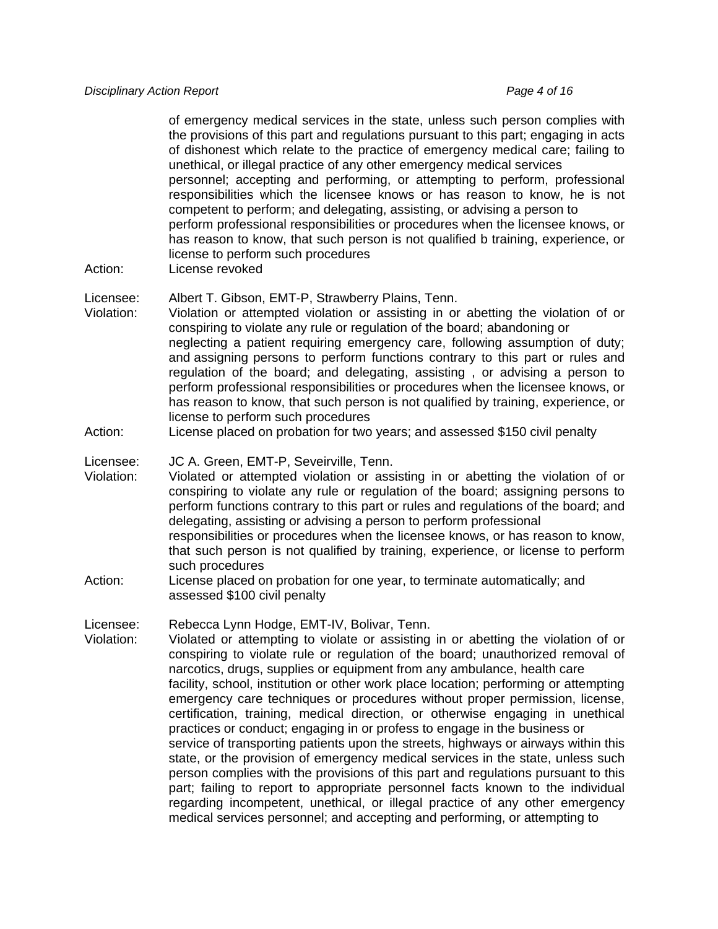#### *Disciplinary Action Report Page 4 of 16 Page 4 of 16*

 of emergency medical services in the state, unless such person complies with the provisions of this part and regulations pursuant to this part; engaging in acts of dishonest which relate to the practice of emergency medical care; failing to unethical, or illegal practice of any other emergency medical services personnel; accepting and performing, or attempting to perform, professional responsibilities which the licensee knows or has reason to know, he is not competent to perform; and delegating, assisting, or advising a person to perform professional responsibilities or procedures when the licensee knows, or has reason to know, that such person is not qualified b training, experience, or license to perform such procedures

Action: License revoked

Licensee: Albert T. Gibson, EMT-P, Strawberry Plains, Tenn.

- Violation: Violation or attempted violation or assisting in or abetting the violation of or conspiring to violate any rule or regulation of the board; abandoning or neglecting a patient requiring emergency care, following assumption of duty; and assigning persons to perform functions contrary to this part or rules and regulation of the board; and delegating, assisting , or advising a person to perform professional responsibilities or procedures when the licensee knows, or has reason to know, that such person is not qualified by training, experience, or license to perform such procedures
- Action: License placed on probation for two years; and assessed \$150 civil penalty

Licensee: JC A. Green, EMT-P, Seveirville, Tenn.

- Violation: Violated or attempted violation or assisting in or abetting the violation of or conspiring to violate any rule or regulation of the board; assigning persons to perform functions contrary to this part or rules and regulations of the board; and delegating, assisting or advising a person to perform professional responsibilities or procedures when the licensee knows, or has reason to know, that such person is not qualified by training, experience, or license to perform such procedures
- Action: License placed on probation for one year, to terminate automatically; and assessed \$100 civil penalty

Licensee: Rebecca Lynn Hodge, EMT-IV, Bolivar, Tenn.

Violation: Violated or attempting to violate or assisting in or abetting the violation of or conspiring to violate rule or regulation of the board; unauthorized removal of narcotics, drugs, supplies or equipment from any ambulance, health care facility, school, institution or other work place location; performing or attempting emergency care techniques or procedures without proper permission, license, certification, training, medical direction, or otherwise engaging in unethical practices or conduct; engaging in or profess to engage in the business or service of transporting patients upon the streets, highways or airways within this state, or the provision of emergency medical services in the state, unless such person complies with the provisions of this part and regulations pursuant to this part; failing to report to appropriate personnel facts known to the individual regarding incompetent, unethical, or illegal practice of any other emergency medical services personnel; and accepting and performing, or attempting to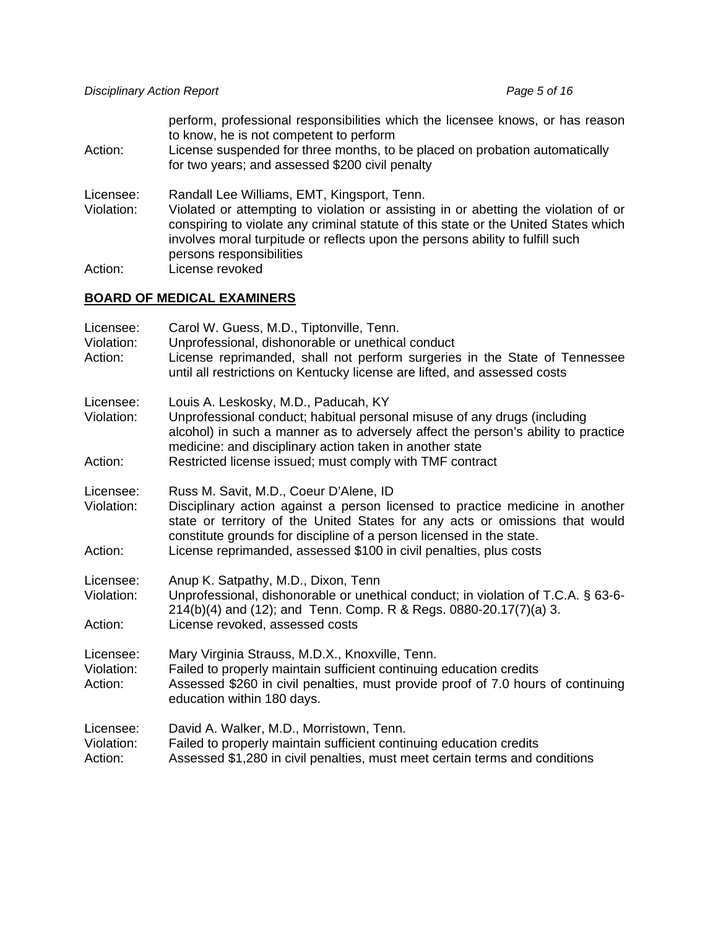perform, professional responsibilities which the licensee knows, or has reason to know, he is not competent to perform

Action: License suspended for three months, to be placed on probation automatically for two years; and assessed \$200 civil penalty

Licensee: Randall Lee Williams, EMT, Kingsport, Tenn.

Violation: Violated or attempting to violation or assisting in or abetting the violation of or conspiring to violate any criminal statute of this state or the United States which involves moral turpitude or reflects upon the persons ability to fulfill such persons responsibilities<br>Action: License revoked License revoked

#### **BOARD OF MEDICAL EXAMINERS**

| Licensee:<br>Violation:<br>Action: | Carol W. Guess, M.D., Tiptonville, Tenn.<br>Unprofessional, dishonorable or unethical conduct<br>License reprimanded, shall not perform surgeries in the State of Tennessee<br>until all restrictions on Kentucky license are lifted, and assessed costs                                                                                              |
|------------------------------------|-------------------------------------------------------------------------------------------------------------------------------------------------------------------------------------------------------------------------------------------------------------------------------------------------------------------------------------------------------|
| Licensee:<br>Violation:<br>Action: | Louis A. Leskosky, M.D., Paducah, KY<br>Unprofessional conduct; habitual personal misuse of any drugs (including<br>alcohol) in such a manner as to adversely affect the person's ability to practice<br>medicine: and disciplinary action taken in another state<br>Restricted license issued; must comply with TMF contract                         |
| Licensee:<br>Violation:<br>Action: | Russ M. Savit, M.D., Coeur D'Alene, ID<br>Disciplinary action against a person licensed to practice medicine in another<br>state or territory of the United States for any acts or omissions that would<br>constitute grounds for discipline of a person licensed in the state.<br>License reprimanded, assessed \$100 in civil penalties, plus costs |
| Licensee:<br>Violation:<br>Action: | Anup K. Satpathy, M.D., Dixon, Tenn<br>Unprofessional, dishonorable or unethical conduct; in violation of T.C.A. § 63-6-<br>214(b)(4) and (12); and Tenn. Comp. R & Regs. 0880-20.17(7)(a) 3.<br>License revoked, assessed costs                                                                                                                      |
| Licensee:<br>Violation:<br>Action: | Mary Virginia Strauss, M.D.X., Knoxville, Tenn.<br>Failed to properly maintain sufficient continuing education credits<br>Assessed \$260 in civil penalties, must provide proof of 7.0 hours of continuing<br>education within 180 days.                                                                                                              |
| Licensee:<br>Violation:<br>Action: | David A. Walker, M.D., Morristown, Tenn.<br>Failed to properly maintain sufficient continuing education credits<br>Assessed \$1,280 in civil penalties, must meet certain terms and conditions                                                                                                                                                        |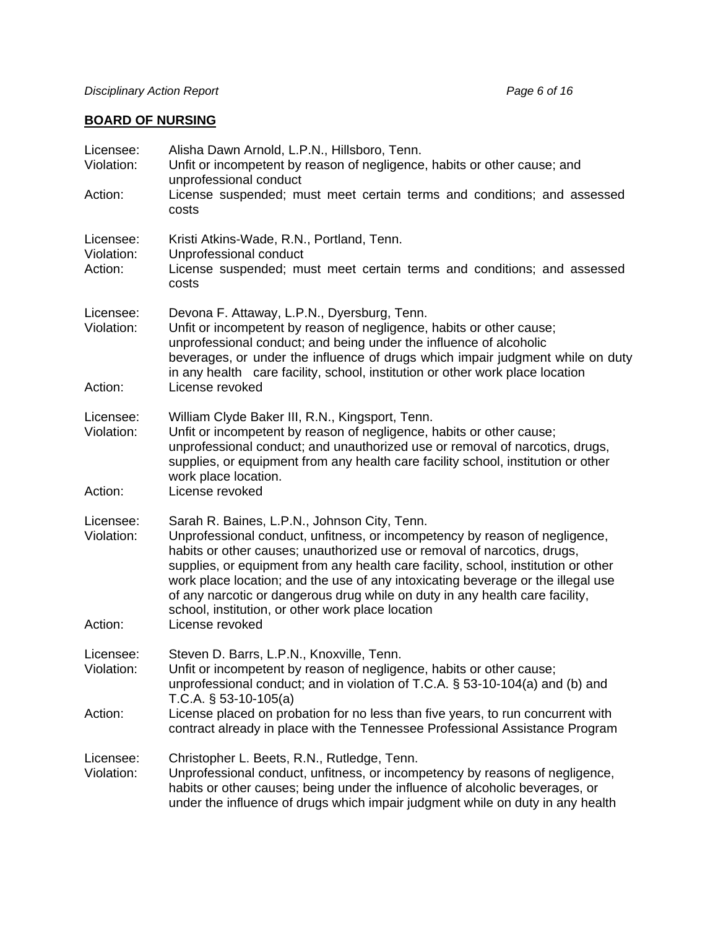# **BOARD OF NURSING**

| Licensee:<br>Violation:<br>Action: | Alisha Dawn Arnold, L.P.N., Hillsboro, Tenn.<br>Unfit or incompetent by reason of negligence, habits or other cause; and<br>unprofessional conduct<br>License suspended; must meet certain terms and conditions; and assessed<br>costs                                                                                                                                                                                                                                                                                                    |
|------------------------------------|-------------------------------------------------------------------------------------------------------------------------------------------------------------------------------------------------------------------------------------------------------------------------------------------------------------------------------------------------------------------------------------------------------------------------------------------------------------------------------------------------------------------------------------------|
| Licensee:<br>Violation:<br>Action: | Kristi Atkins-Wade, R.N., Portland, Tenn.<br>Unprofessional conduct<br>License suspended; must meet certain terms and conditions; and assessed<br>costs                                                                                                                                                                                                                                                                                                                                                                                   |
| Licensee:<br>Violation:<br>Action: | Devona F. Attaway, L.P.N., Dyersburg, Tenn.<br>Unfit or incompetent by reason of negligence, habits or other cause;<br>unprofessional conduct; and being under the influence of alcoholic<br>beverages, or under the influence of drugs which impair judgment while on duty<br>in any health care facility, school, institution or other work place location<br>License revoked                                                                                                                                                           |
| Licensee:<br>Violation:<br>Action: | William Clyde Baker III, R.N., Kingsport, Tenn.<br>Unfit or incompetent by reason of negligence, habits or other cause;<br>unprofessional conduct; and unauthorized use or removal of narcotics, drugs,<br>supplies, or equipment from any health care facility school, institution or other<br>work place location.<br>License revoked                                                                                                                                                                                                   |
| Licensee:<br>Violation:<br>Action: | Sarah R. Baines, L.P.N., Johnson City, Tenn.<br>Unprofessional conduct, unfitness, or incompetency by reason of negligence,<br>habits or other causes; unauthorized use or removal of narcotics, drugs,<br>supplies, or equipment from any health care facility, school, institution or other<br>work place location; and the use of any intoxicating beverage or the illegal use<br>of any narcotic or dangerous drug while on duty in any health care facility,<br>school, institution, or other work place location<br>License revoked |
| Licensee:<br>Violation:<br>Action: | Steven D. Barrs, L.P.N., Knoxville, Tenn.<br>Unfit or incompetent by reason of negligence, habits or other cause;<br>unprofessional conduct; and in violation of T.C.A. § 53-10-104(a) and (b) and<br>T.C.A. $\S$ 53-10-105(a)<br>License placed on probation for no less than five years, to run concurrent with<br>contract already in place with the Tennessee Professional Assistance Program                                                                                                                                         |
| Licensee:<br>Violation:            | Christopher L. Beets, R.N., Rutledge, Tenn.<br>Unprofessional conduct, unfitness, or incompetency by reasons of negligence,<br>habits or other causes; being under the influence of alcoholic beverages, or<br>under the influence of drugs which impair judgment while on duty in any health                                                                                                                                                                                                                                             |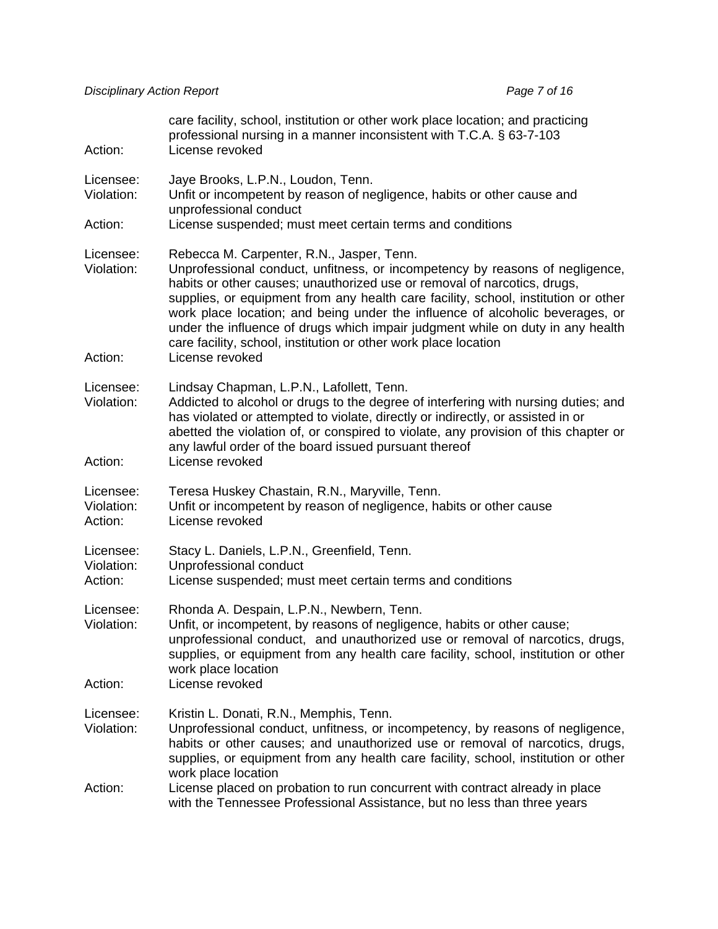| Action:                            | care facility, school, institution or other work place location; and practicing<br>professional nursing in a manner inconsistent with T.C.A. § 63-7-103<br>License revoked                                                                                                                                                                                                                                                                                                                                                                           |
|------------------------------------|------------------------------------------------------------------------------------------------------------------------------------------------------------------------------------------------------------------------------------------------------------------------------------------------------------------------------------------------------------------------------------------------------------------------------------------------------------------------------------------------------------------------------------------------------|
| Licensee:<br>Violation:            | Jaye Brooks, L.P.N., Loudon, Tenn.<br>Unfit or incompetent by reason of negligence, habits or other cause and                                                                                                                                                                                                                                                                                                                                                                                                                                        |
| Action:                            | unprofessional conduct<br>License suspended; must meet certain terms and conditions                                                                                                                                                                                                                                                                                                                                                                                                                                                                  |
| Licensee:<br>Violation:<br>Action: | Rebecca M. Carpenter, R.N., Jasper, Tenn.<br>Unprofessional conduct, unfitness, or incompetency by reasons of negligence,<br>habits or other causes; unauthorized use or removal of narcotics, drugs,<br>supplies, or equipment from any health care facility, school, institution or other<br>work place location; and being under the influence of alcoholic beverages, or<br>under the influence of drugs which impair judgment while on duty in any health<br>care facility, school, institution or other work place location<br>License revoked |
| Licensee:<br>Violation:<br>Action: | Lindsay Chapman, L.P.N., Lafollett, Tenn.<br>Addicted to alcohol or drugs to the degree of interfering with nursing duties; and<br>has violated or attempted to violate, directly or indirectly, or assisted in or<br>abetted the violation of, or conspired to violate, any provision of this chapter or<br>any lawful order of the board issued pursuant thereof<br>License revoked                                                                                                                                                                |
| Licensee:<br>Violation:<br>Action: | Teresa Huskey Chastain, R.N., Maryville, Tenn.<br>Unfit or incompetent by reason of negligence, habits or other cause<br>License revoked                                                                                                                                                                                                                                                                                                                                                                                                             |
| Licensee:<br>Violation:<br>Action: | Stacy L. Daniels, L.P.N., Greenfield, Tenn.<br>Unprofessional conduct<br>License suspended; must meet certain terms and conditions                                                                                                                                                                                                                                                                                                                                                                                                                   |
| Licensee:<br>Violation:            | Rhonda A. Despain, L.P.N., Newbern, Tenn.<br>Unfit, or incompetent, by reasons of negligence, habits or other cause;<br>unprofessional conduct, and unauthorized use or removal of narcotics, drugs,<br>supplies, or equipment from any health care facility, school, institution or other<br>work place location                                                                                                                                                                                                                                    |
| Action:                            | License revoked                                                                                                                                                                                                                                                                                                                                                                                                                                                                                                                                      |
| Licensee:<br>Violation:            | Kristin L. Donati, R.N., Memphis, Tenn.<br>Unprofessional conduct, unfitness, or incompetency, by reasons of negligence,<br>habits or other causes; and unauthorized use or removal of narcotics, drugs,<br>supplies, or equipment from any health care facility, school, institution or other<br>work place location                                                                                                                                                                                                                                |
| Action:                            | License placed on probation to run concurrent with contract already in place<br>with the Tennessee Professional Assistance, but no less than three years                                                                                                                                                                                                                                                                                                                                                                                             |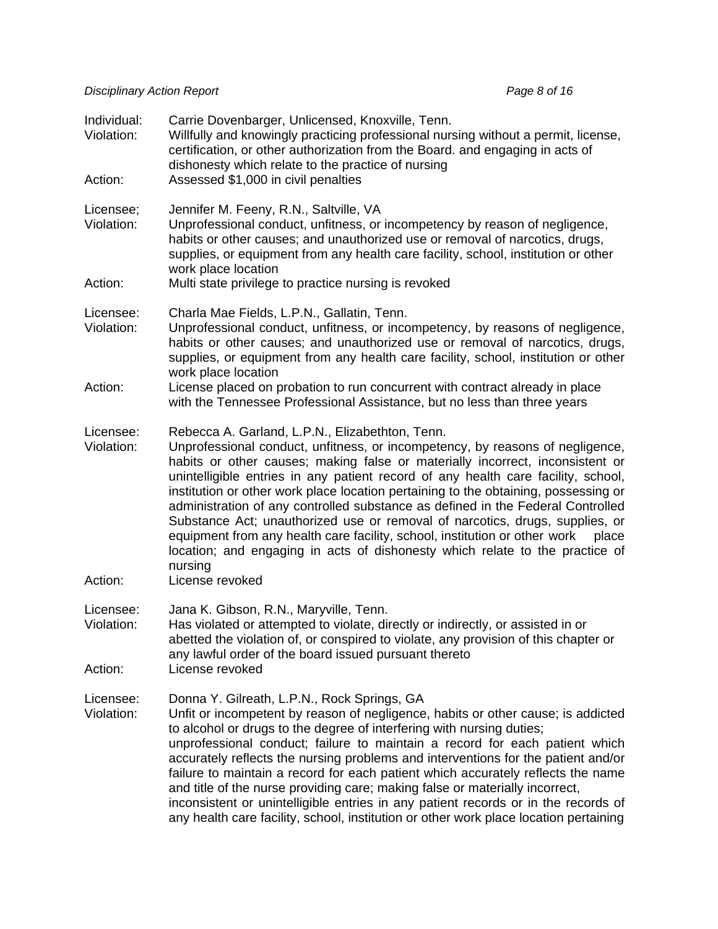| Individual:<br>Violation: | Carrie Dovenbarger, Unlicensed, Knoxville, Tenn.<br>Willfully and knowingly practicing professional nursing without a permit, license,<br>certification, or other authorization from the Board. and engaging in acts of<br>dishonesty which relate to the practice of nursing                                                                                                                                                                                                                                                                                                                                                                                                                                                                      |
|---------------------------|----------------------------------------------------------------------------------------------------------------------------------------------------------------------------------------------------------------------------------------------------------------------------------------------------------------------------------------------------------------------------------------------------------------------------------------------------------------------------------------------------------------------------------------------------------------------------------------------------------------------------------------------------------------------------------------------------------------------------------------------------|
| Action:                   | Assessed \$1,000 in civil penalties                                                                                                                                                                                                                                                                                                                                                                                                                                                                                                                                                                                                                                                                                                                |
| Licensee;<br>Violation:   | Jennifer M. Feeny, R.N., Saltville, VA<br>Unprofessional conduct, unfitness, or incompetency by reason of negligence,<br>habits or other causes; and unauthorized use or removal of narcotics, drugs,<br>supplies, or equipment from any health care facility, school, institution or other<br>work place location                                                                                                                                                                                                                                                                                                                                                                                                                                 |
| Action:                   | Multi state privilege to practice nursing is revoked                                                                                                                                                                                                                                                                                                                                                                                                                                                                                                                                                                                                                                                                                               |
| Licensee:<br>Violation:   | Charla Mae Fields, L.P.N., Gallatin, Tenn.<br>Unprofessional conduct, unfitness, or incompetency, by reasons of negligence,<br>habits or other causes; and unauthorized use or removal of narcotics, drugs,<br>supplies, or equipment from any health care facility, school, institution or other<br>work place location                                                                                                                                                                                                                                                                                                                                                                                                                           |
| Action:                   | License placed on probation to run concurrent with contract already in place<br>with the Tennessee Professional Assistance, but no less than three years                                                                                                                                                                                                                                                                                                                                                                                                                                                                                                                                                                                           |
| Licensee:<br>Violation:   | Rebecca A. Garland, L.P.N., Elizabethton, Tenn.<br>Unprofessional conduct, unfitness, or incompetency, by reasons of negligence,<br>habits or other causes; making false or materially incorrect, inconsistent or<br>unintelligible entries in any patient record of any health care facility, school,<br>institution or other work place location pertaining to the obtaining, possessing or<br>administration of any controlled substance as defined in the Federal Controlled<br>Substance Act; unauthorized use or removal of narcotics, drugs, supplies, or<br>equipment from any health care facility, school, institution or other work<br>place<br>location; and engaging in acts of dishonesty which relate to the practice of<br>nursing |
| Action:                   | License revoked                                                                                                                                                                                                                                                                                                                                                                                                                                                                                                                                                                                                                                                                                                                                    |
| Licensee:<br>Violation:   | Jana K. Gibson, R.N., Maryville, Tenn.<br>Has violated or attempted to violate, directly or indirectly, or assisted in or<br>abetted the violation of, or conspired to violate, any provision of this chapter or<br>any lawful order of the board issued pursuant thereto                                                                                                                                                                                                                                                                                                                                                                                                                                                                          |
| Action:                   | License revoked                                                                                                                                                                                                                                                                                                                                                                                                                                                                                                                                                                                                                                                                                                                                    |
| Licensee:<br>Violation:   | Donna Y. Gilreath, L.P.N., Rock Springs, GA<br>Unfit or incompetent by reason of negligence, habits or other cause; is addicted<br>to alcohol or drugs to the degree of interfering with nursing duties;<br>unprofessional conduct; failure to maintain a record for each patient which<br>accurately reflects the nursing problems and interventions for the patient and/or<br>failure to maintain a record for each patient which accurately reflects the name<br>and title of the nurse providing care; making false or materially incorrect,<br>inconsistent or unintelligible entries in any patient records or in the records of<br>any health care facility, school, institution or other work place location pertaining                    |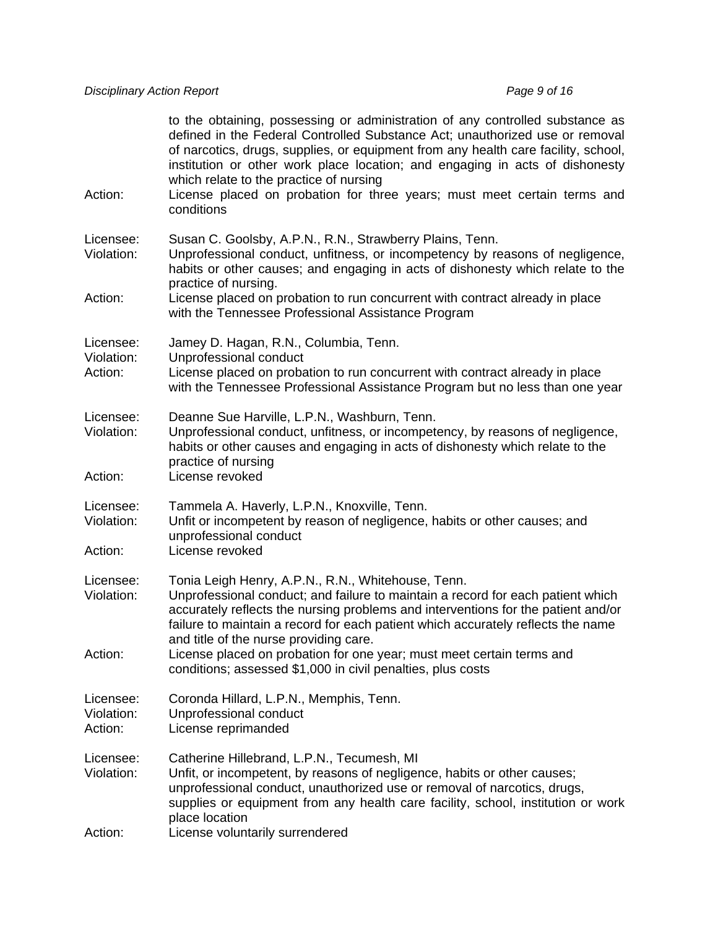| Action:                            | to the obtaining, possessing or administration of any controlled substance as<br>defined in the Federal Controlled Substance Act; unauthorized use or removal<br>of narcotics, drugs, supplies, or equipment from any health care facility, school,<br>institution or other work place location; and engaging in acts of dishonesty<br>which relate to the practice of nursing<br>License placed on probation for three years; must meet certain terms and<br>conditions |
|------------------------------------|--------------------------------------------------------------------------------------------------------------------------------------------------------------------------------------------------------------------------------------------------------------------------------------------------------------------------------------------------------------------------------------------------------------------------------------------------------------------------|
| Licensee:<br>Violation:<br>Action: | Susan C. Goolsby, A.P.N., R.N., Strawberry Plains, Tenn.<br>Unprofessional conduct, unfitness, or incompetency by reasons of negligence,<br>habits or other causes; and engaging in acts of dishonesty which relate to the<br>practice of nursing.                                                                                                                                                                                                                       |
|                                    | License placed on probation to run concurrent with contract already in place<br>with the Tennessee Professional Assistance Program                                                                                                                                                                                                                                                                                                                                       |
| Licensee:<br>Violation:<br>Action: | Jamey D. Hagan, R.N., Columbia, Tenn.<br>Unprofessional conduct<br>License placed on probation to run concurrent with contract already in place<br>with the Tennessee Professional Assistance Program but no less than one year                                                                                                                                                                                                                                          |
| Licensee:<br>Violation:            | Deanne Sue Harville, L.P.N., Washburn, Tenn.<br>Unprofessional conduct, unfitness, or incompetency, by reasons of negligence,<br>habits or other causes and engaging in acts of dishonesty which relate to the<br>practice of nursing                                                                                                                                                                                                                                    |
| Action:                            | License revoked                                                                                                                                                                                                                                                                                                                                                                                                                                                          |
| Licensee:<br>Violation:            | Tammela A. Haverly, L.P.N., Knoxville, Tenn.<br>Unfit or incompetent by reason of negligence, habits or other causes; and<br>unprofessional conduct                                                                                                                                                                                                                                                                                                                      |
| Action:                            | License revoked                                                                                                                                                                                                                                                                                                                                                                                                                                                          |
| Licensee:<br>Violation:            | Tonia Leigh Henry, A.P.N., R.N., Whitehouse, Tenn.<br>Unprofessional conduct; and failure to maintain a record for each patient which<br>accurately reflects the nursing problems and interventions for the patient and/or<br>failure to maintain a record for each patient which accurately reflects the name<br>and title of the nurse providing care.                                                                                                                 |
| Action:                            | License placed on probation for one year; must meet certain terms and<br>conditions; assessed \$1,000 in civil penalties, plus costs                                                                                                                                                                                                                                                                                                                                     |
| Licensee:<br>Violation:<br>Action: | Coronda Hillard, L.P.N., Memphis, Tenn.<br>Unprofessional conduct<br>License reprimanded                                                                                                                                                                                                                                                                                                                                                                                 |
| Licensee:<br>Violation:<br>Action: | Catherine Hillebrand, L.P.N., Tecumesh, MI<br>Unfit, or incompetent, by reasons of negligence, habits or other causes;<br>unprofessional conduct, unauthorized use or removal of narcotics, drugs,<br>supplies or equipment from any health care facility, school, institution or work<br>place location<br>License voluntarily surrendered                                                                                                                              |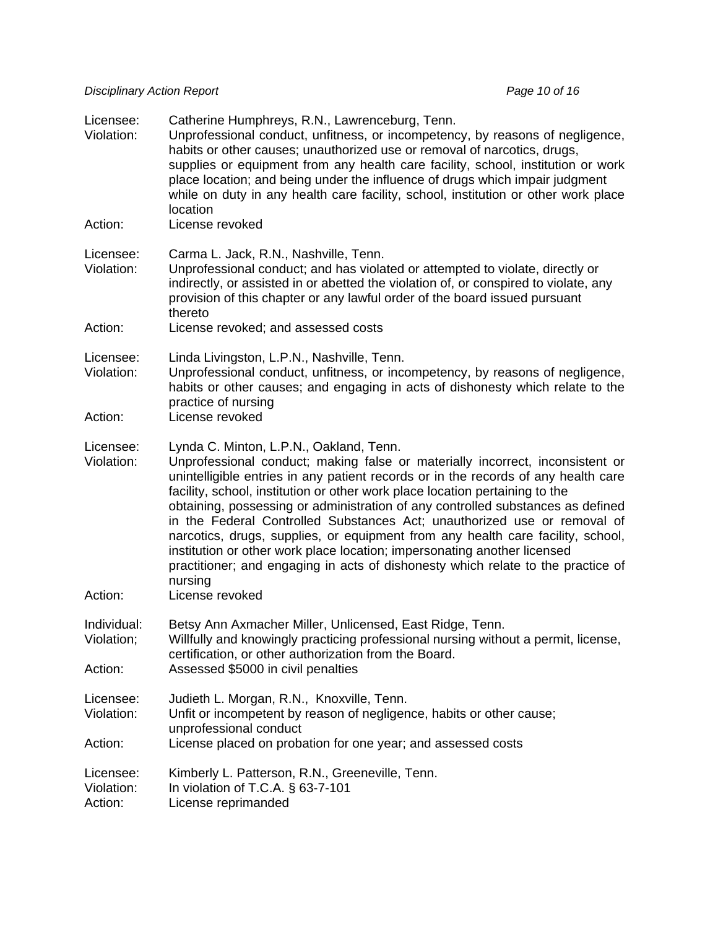*Disciplinary Action Report* **Page 10 of 16** *Page 10 of 16 Page 10 of 16* 

| Licensee:<br>Violation:            | Catherine Humphreys, R.N., Lawrenceburg, Tenn.<br>Unprofessional conduct, unfitness, or incompetency, by reasons of negligence,<br>habits or other causes; unauthorized use or removal of narcotics, drugs,<br>supplies or equipment from any health care facility, school, institution or work<br>place location; and being under the influence of drugs which impair judgment<br>while on duty in any health care facility, school, institution or other work place<br>location                                                                                                                                                                                                                                           |
|------------------------------------|-----------------------------------------------------------------------------------------------------------------------------------------------------------------------------------------------------------------------------------------------------------------------------------------------------------------------------------------------------------------------------------------------------------------------------------------------------------------------------------------------------------------------------------------------------------------------------------------------------------------------------------------------------------------------------------------------------------------------------|
| Action:                            | License revoked                                                                                                                                                                                                                                                                                                                                                                                                                                                                                                                                                                                                                                                                                                             |
| Licensee:<br>Violation:            | Carma L. Jack, R.N., Nashville, Tenn.<br>Unprofessional conduct; and has violated or attempted to violate, directly or<br>indirectly, or assisted in or abetted the violation of, or conspired to violate, any<br>provision of this chapter or any lawful order of the board issued pursuant<br>thereto                                                                                                                                                                                                                                                                                                                                                                                                                     |
| Action:                            | License revoked; and assessed costs                                                                                                                                                                                                                                                                                                                                                                                                                                                                                                                                                                                                                                                                                         |
| Licensee:<br>Violation:            | Linda Livingston, L.P.N., Nashville, Tenn.<br>Unprofessional conduct, unfitness, or incompetency, by reasons of negligence,<br>habits or other causes; and engaging in acts of dishonesty which relate to the<br>practice of nursing                                                                                                                                                                                                                                                                                                                                                                                                                                                                                        |
| Action:                            | License revoked                                                                                                                                                                                                                                                                                                                                                                                                                                                                                                                                                                                                                                                                                                             |
| Licensee:<br>Violation:            | Lynda C. Minton, L.P.N., Oakland, Tenn.<br>Unprofessional conduct; making false or materially incorrect, inconsistent or<br>unintelligible entries in any patient records or in the records of any health care<br>facility, school, institution or other work place location pertaining to the<br>obtaining, possessing or administration of any controlled substances as defined<br>in the Federal Controlled Substances Act; unauthorized use or removal of<br>narcotics, drugs, supplies, or equipment from any health care facility, school,<br>institution or other work place location; impersonating another licensed<br>practitioner; and engaging in acts of dishonesty which relate to the practice of<br>nursing |
| Action:                            | License revoked                                                                                                                                                                                                                                                                                                                                                                                                                                                                                                                                                                                                                                                                                                             |
| Individual:<br>Violation;          | Betsy Ann Axmacher Miller, Unlicensed, East Ridge, Tenn.<br>Willfully and knowingly practicing professional nursing without a permit, license,<br>certification, or other authorization from the Board.                                                                                                                                                                                                                                                                                                                                                                                                                                                                                                                     |
| Action:                            | Assessed \$5000 in civil penalties                                                                                                                                                                                                                                                                                                                                                                                                                                                                                                                                                                                                                                                                                          |
| Licensee:<br>Violation:<br>Action: | Judieth L. Morgan, R.N., Knoxville, Tenn.<br>Unfit or incompetent by reason of negligence, habits or other cause;<br>unprofessional conduct<br>License placed on probation for one year; and assessed costs                                                                                                                                                                                                                                                                                                                                                                                                                                                                                                                 |
|                                    |                                                                                                                                                                                                                                                                                                                                                                                                                                                                                                                                                                                                                                                                                                                             |
| Licensee:<br>Violation:<br>Action: | Kimberly L. Patterson, R.N., Greeneville, Tenn.<br>In violation of T.C.A. § 63-7-101<br>License reprimanded                                                                                                                                                                                                                                                                                                                                                                                                                                                                                                                                                                                                                 |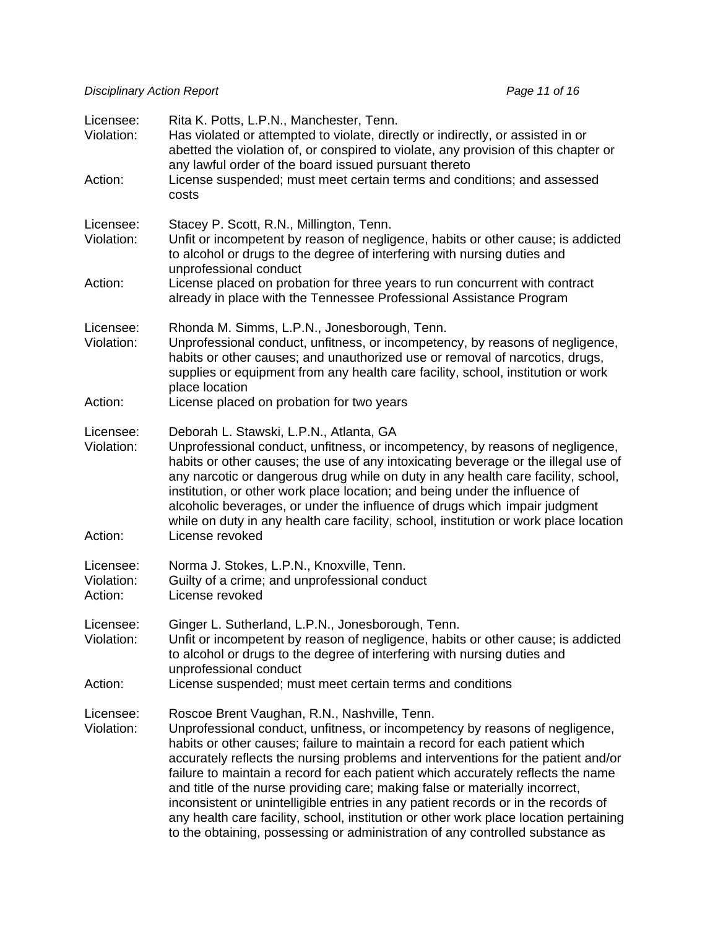| Licensee:<br>Violation:<br>Action: | Rita K. Potts, L.P.N., Manchester, Tenn.<br>Has violated or attempted to violate, directly or indirectly, or assisted in or<br>abetted the violation of, or conspired to violate, any provision of this chapter or<br>any lawful order of the board issued pursuant thereto<br>License suspended; must meet certain terms and conditions; and assessed<br>costs                                                                                                                                                                                                                                                                                                                                                                      |
|------------------------------------|--------------------------------------------------------------------------------------------------------------------------------------------------------------------------------------------------------------------------------------------------------------------------------------------------------------------------------------------------------------------------------------------------------------------------------------------------------------------------------------------------------------------------------------------------------------------------------------------------------------------------------------------------------------------------------------------------------------------------------------|
| Licensee:<br>Violation:            | Stacey P. Scott, R.N., Millington, Tenn.<br>Unfit or incompetent by reason of negligence, habits or other cause; is addicted<br>to alcohol or drugs to the degree of interfering with nursing duties and<br>unprofessional conduct                                                                                                                                                                                                                                                                                                                                                                                                                                                                                                   |
| Action:                            | License placed on probation for three years to run concurrent with contract<br>already in place with the Tennessee Professional Assistance Program                                                                                                                                                                                                                                                                                                                                                                                                                                                                                                                                                                                   |
| Licensee:<br>Violation:<br>Action: | Rhonda M. Simms, L.P.N., Jonesborough, Tenn.<br>Unprofessional conduct, unfitness, or incompetency, by reasons of negligence,<br>habits or other causes; and unauthorized use or removal of narcotics, drugs,<br>supplies or equipment from any health care facility, school, institution or work<br>place location<br>License placed on probation for two years                                                                                                                                                                                                                                                                                                                                                                     |
|                                    |                                                                                                                                                                                                                                                                                                                                                                                                                                                                                                                                                                                                                                                                                                                                      |
| Licensee:<br>Violation:<br>Action: | Deborah L. Stawski, L.P.N., Atlanta, GA<br>Unprofessional conduct, unfitness, or incompetency, by reasons of negligence,<br>habits or other causes; the use of any intoxicating beverage or the illegal use of<br>any narcotic or dangerous drug while on duty in any health care facility, school,<br>institution, or other work place location; and being under the influence of<br>alcoholic beverages, or under the influence of drugs which impair judgment<br>while on duty in any health care facility, school, institution or work place location<br>License revoked                                                                                                                                                         |
|                                    |                                                                                                                                                                                                                                                                                                                                                                                                                                                                                                                                                                                                                                                                                                                                      |
| Licensee:<br>Violation:<br>Action: | Norma J. Stokes, L.P.N., Knoxville, Tenn.<br>Guilty of a crime; and unprofessional conduct<br>License revoked                                                                                                                                                                                                                                                                                                                                                                                                                                                                                                                                                                                                                        |
| Licensee:<br>Violation:            | Ginger L. Sutherland, L.P.N., Jonesborough, Tenn.<br>Unfit or incompetent by reason of negligence, habits or other cause; is addicted<br>to alcohol or drugs to the degree of interfering with nursing duties and<br>unprofessional conduct                                                                                                                                                                                                                                                                                                                                                                                                                                                                                          |
| Action:                            | License suspended; must meet certain terms and conditions                                                                                                                                                                                                                                                                                                                                                                                                                                                                                                                                                                                                                                                                            |
| Licensee:<br>Violation:            | Roscoe Brent Vaughan, R.N., Nashville, Tenn.<br>Unprofessional conduct, unfitness, or incompetency by reasons of negligence,<br>habits or other causes; failure to maintain a record for each patient which<br>accurately reflects the nursing problems and interventions for the patient and/or<br>failure to maintain a record for each patient which accurately reflects the name<br>and title of the nurse providing care; making false or materially incorrect,<br>inconsistent or unintelligible entries in any patient records or in the records of<br>any health care facility, school, institution or other work place location pertaining<br>to the obtaining, possessing or administration of any controlled substance as |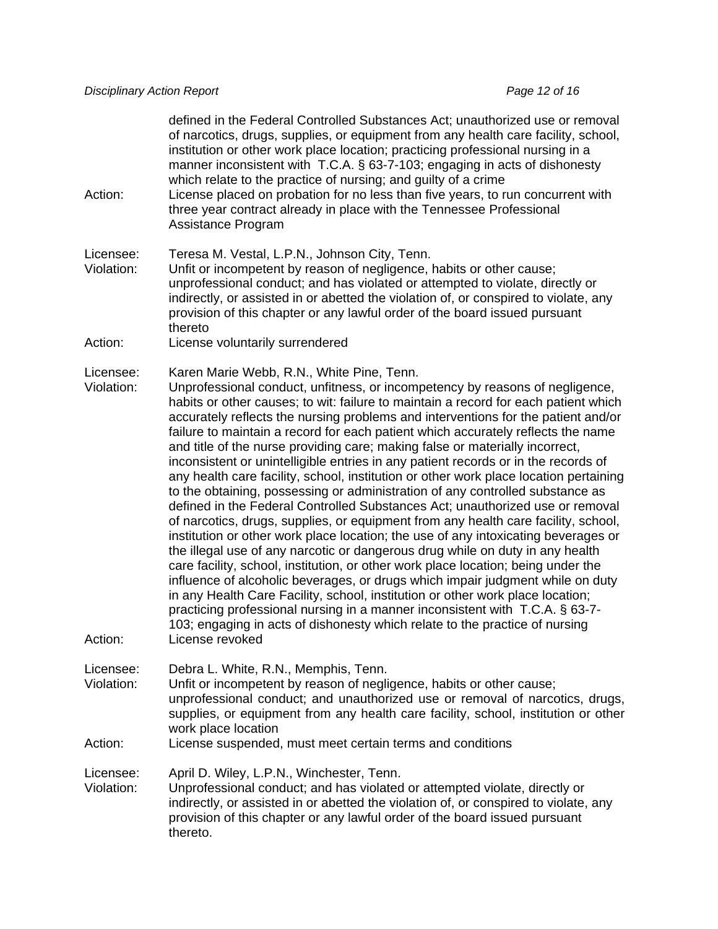defined in the Federal Controlled Substances Act; unauthorized use or removal of narcotics, drugs, supplies, or equipment from any health care facility, school, institution or other work place location; practicing professional nursing in a manner inconsistent with T.C.A. § 63-7-103; engaging in acts of dishonesty which relate to the practice of nursing; and guilty of a crime

Action: License placed on probation for no less than five years, to run concurrent with three year contract already in place with the Tennessee Professional Assistance Program

Licensee: Teresa M. Vestal, L.P.N., Johnson City, Tenn.

- Violation: Unfit or incompetent by reason of negligence, habits or other cause; unprofessional conduct; and has violated or attempted to violate, directly or indirectly, or assisted in or abetted the violation of, or conspired to violate, any provision of this chapter or any lawful order of the board issued pursuant thereto
- Action: License voluntarily surrendered

Licensee: Karen Marie Webb, R.N., White Pine, Tenn.

Violation: Unprofessional conduct, unfitness, or incompetency by reasons of negligence, habits or other causes; to wit: failure to maintain a record for each patient which accurately reflects the nursing problems and interventions for the patient and/or failure to maintain a record for each patient which accurately reflects the name and title of the nurse providing care; making false or materially incorrect, inconsistent or unintelligible entries in any patient records or in the records of any health care facility, school, institution or other work place location pertaining to the obtaining, possessing or administration of any controlled substance as defined in the Federal Controlled Substances Act; unauthorized use or removal of narcotics, drugs, supplies, or equipment from any health care facility, school, institution or other work place location; the use of any intoxicating beverages or the illegal use of any narcotic or dangerous drug while on duty in any health care facility, school, institution, or other work place location; being under the influence of alcoholic beverages, or drugs which impair judgment while on duty in any Health Care Facility, school, institution or other work place location; practicing professional nursing in a manner inconsistent with T.C.A. § 63-7- 103; engaging in acts of dishonesty which relate to the practice of nursing Action: License revoked

Licensee: Debra L. White, R.N., Memphis, Tenn.

Violation: Unfit or incompetent by reason of negligence, habits or other cause; unprofessional conduct; and unauthorized use or removal of narcotics, drugs, supplies, or equipment from any health care facility, school, institution or other work place location

#### Action: License suspended, must meet certain terms and conditions

Licensee: April D. Wiley, L.P.N., Winchester, Tenn.

Violation: Unprofessional conduct; and has violated or attempted violate, directly or indirectly, or assisted in or abetted the violation of, or conspired to violate, any provision of this chapter or any lawful order of the board issued pursuant thereto.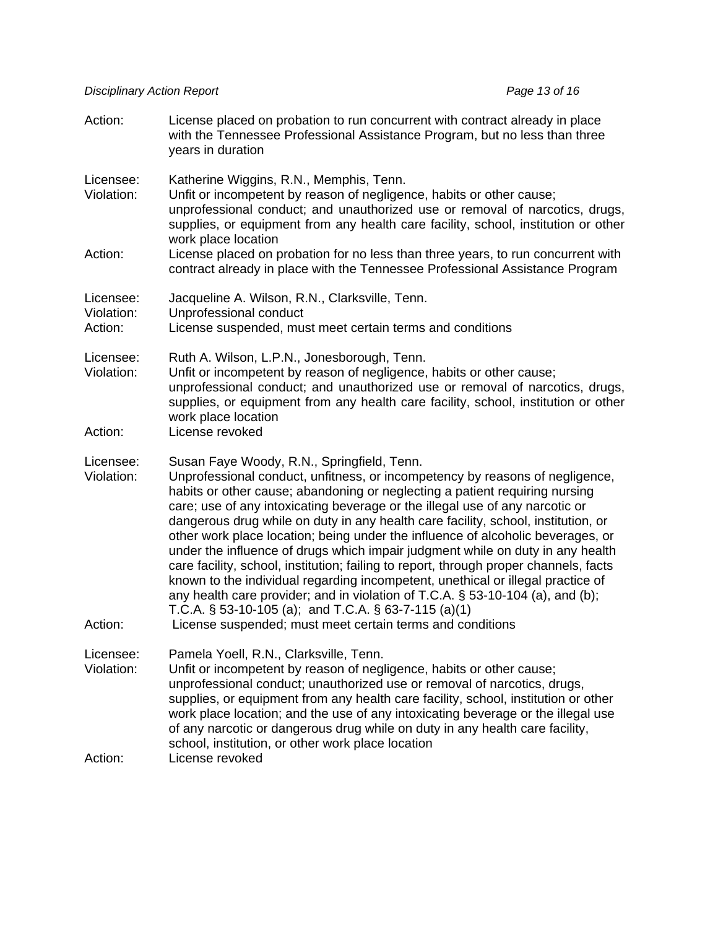| Action:                            | License placed on probation to run concurrent with contract already in place<br>with the Tennessee Professional Assistance Program, but no less than three<br>years in duration                                                                                                                                                                                                                                                                                                                                                                                                                                                                                                                                                                                                                                                                                                                                                              |
|------------------------------------|----------------------------------------------------------------------------------------------------------------------------------------------------------------------------------------------------------------------------------------------------------------------------------------------------------------------------------------------------------------------------------------------------------------------------------------------------------------------------------------------------------------------------------------------------------------------------------------------------------------------------------------------------------------------------------------------------------------------------------------------------------------------------------------------------------------------------------------------------------------------------------------------------------------------------------------------|
| Licensee:<br>Violation:            | Katherine Wiggins, R.N., Memphis, Tenn.<br>Unfit or incompetent by reason of negligence, habits or other cause;<br>unprofessional conduct; and unauthorized use or removal of narcotics, drugs,<br>supplies, or equipment from any health care facility, school, institution or other<br>work place location                                                                                                                                                                                                                                                                                                                                                                                                                                                                                                                                                                                                                                 |
| Action:                            | License placed on probation for no less than three years, to run concurrent with<br>contract already in place with the Tennessee Professional Assistance Program                                                                                                                                                                                                                                                                                                                                                                                                                                                                                                                                                                                                                                                                                                                                                                             |
| Licensee:<br>Violation:<br>Action: | Jacqueline A. Wilson, R.N., Clarksville, Tenn.<br>Unprofessional conduct<br>License suspended, must meet certain terms and conditions                                                                                                                                                                                                                                                                                                                                                                                                                                                                                                                                                                                                                                                                                                                                                                                                        |
|                                    |                                                                                                                                                                                                                                                                                                                                                                                                                                                                                                                                                                                                                                                                                                                                                                                                                                                                                                                                              |
| Licensee:<br>Violation:            | Ruth A. Wilson, L.P.N., Jonesborough, Tenn.<br>Unfit or incompetent by reason of negligence, habits or other cause;<br>unprofessional conduct; and unauthorized use or removal of narcotics, drugs,<br>supplies, or equipment from any health care facility, school, institution or other<br>work place location                                                                                                                                                                                                                                                                                                                                                                                                                                                                                                                                                                                                                             |
| Action:                            | License revoked                                                                                                                                                                                                                                                                                                                                                                                                                                                                                                                                                                                                                                                                                                                                                                                                                                                                                                                              |
| Licensee:<br>Violation:<br>Action: | Susan Faye Woody, R.N., Springfield, Tenn.<br>Unprofessional conduct, unfitness, or incompetency by reasons of negligence,<br>habits or other cause; abandoning or neglecting a patient requiring nursing<br>care; use of any intoxicating beverage or the illegal use of any narcotic or<br>dangerous drug while on duty in any health care facility, school, institution, or<br>other work place location; being under the influence of alcoholic beverages, or<br>under the influence of drugs which impair judgment while on duty in any health<br>care facility, school, institution; failing to report, through proper channels, facts<br>known to the individual regarding incompetent, unethical or illegal practice of<br>any health care provider; and in violation of T.C.A. § 53-10-104 (a), and (b);<br>T.C.A. $\S$ 53-10-105 (a); and T.C.A. $\S$ 63-7-115 (a)(1)<br>License suspended; must meet certain terms and conditions |
|                                    |                                                                                                                                                                                                                                                                                                                                                                                                                                                                                                                                                                                                                                                                                                                                                                                                                                                                                                                                              |
| Licensee:<br>Violation:            | Pamela Yoell, R.N., Clarksville, Tenn.<br>Unfit or incompetent by reason of negligence, habits or other cause;<br>unprofessional conduct; unauthorized use or removal of narcotics, drugs,<br>supplies, or equipment from any health care facility, school, institution or other<br>work place location; and the use of any intoxicating beverage or the illegal use<br>of any narcotic or dangerous drug while on duty in any health care facility,<br>school, institution, or other work place location                                                                                                                                                                                                                                                                                                                                                                                                                                    |
| Action:                            | License revoked                                                                                                                                                                                                                                                                                                                                                                                                                                                                                                                                                                                                                                                                                                                                                                                                                                                                                                                              |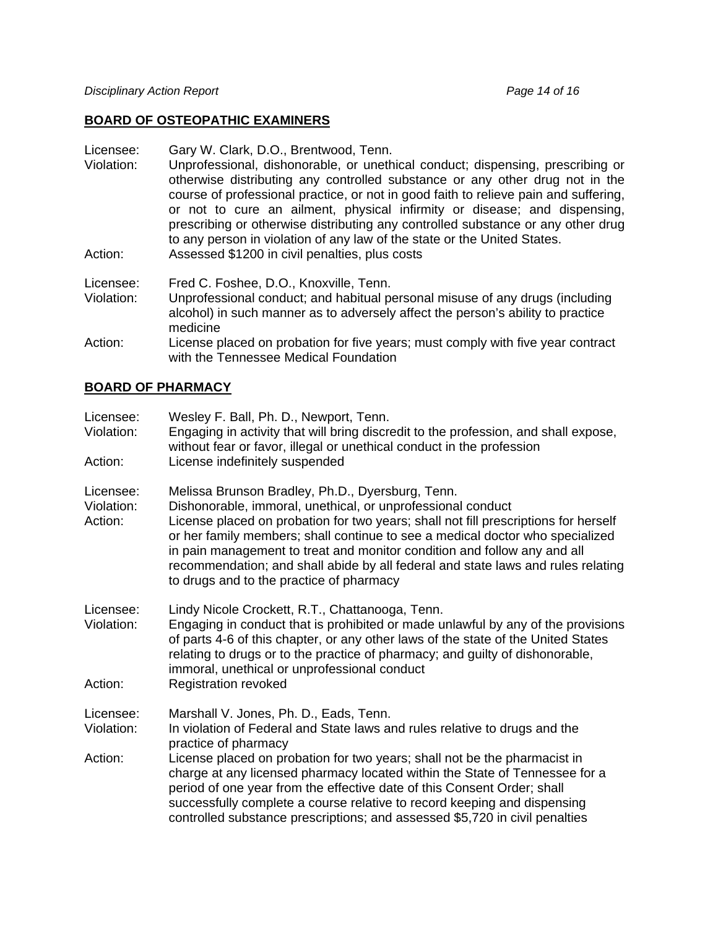# **BOARD OF OSTEOPATHIC EXAMINERS**

| Licensee:<br>Violation: | Gary W. Clark, D.O., Brentwood, Tenn.<br>Unprofessional, dishonorable, or unethical conduct; dispensing, prescribing or<br>otherwise distributing any controlled substance or any other drug not in the<br>course of professional practice, or not in good faith to relieve pain and suffering,<br>or not to cure an ailment, physical infirmity or disease; and dispensing,<br>prescribing or otherwise distributing any controlled substance or any other drug<br>to any person in violation of any law of the state or the United States. |
|-------------------------|----------------------------------------------------------------------------------------------------------------------------------------------------------------------------------------------------------------------------------------------------------------------------------------------------------------------------------------------------------------------------------------------------------------------------------------------------------------------------------------------------------------------------------------------|
| Action:                 | Assessed \$1200 in civil penalties, plus costs                                                                                                                                                                                                                                                                                                                                                                                                                                                                                               |
| Licensee:<br>Violation: | Fred C. Foshee, D.O., Knoxville, Tenn.<br>Unprofessional conduct; and habitual personal misuse of any drugs (including<br>alcohol) in such manner as to adversely affect the person's ability to practice<br>medicine                                                                                                                                                                                                                                                                                                                        |
| Action:                 | License placed on probation for five years; must comply with five year contract<br>with the Tennessee Medical Foundation                                                                                                                                                                                                                                                                                                                                                                                                                     |

### **BOARD OF PHARMACY**

| Licensee:<br>Violation:<br>Action: | Wesley F. Ball, Ph. D., Newport, Tenn.<br>Engaging in activity that will bring discredit to the profession, and shall expose,<br>without fear or favor, illegal or unethical conduct in the profession<br>License indefinitely suspended                                                                                                                                                                                                                                                            |
|------------------------------------|-----------------------------------------------------------------------------------------------------------------------------------------------------------------------------------------------------------------------------------------------------------------------------------------------------------------------------------------------------------------------------------------------------------------------------------------------------------------------------------------------------|
| Licensee:<br>Violation:<br>Action: | Melissa Brunson Bradley, Ph.D., Dyersburg, Tenn.<br>Dishonorable, immoral, unethical, or unprofessional conduct<br>License placed on probation for two years; shall not fill prescriptions for herself<br>or her family members; shall continue to see a medical doctor who specialized<br>in pain management to treat and monitor condition and follow any and all<br>recommendation; and shall abide by all federal and state laws and rules relating<br>to drugs and to the practice of pharmacy |
| Licensee:<br>Violation:<br>Action: | Lindy Nicole Crockett, R.T., Chattanooga, Tenn.<br>Engaging in conduct that is prohibited or made unlawful by any of the provisions<br>of parts 4-6 of this chapter, or any other laws of the state of the United States<br>relating to drugs or to the practice of pharmacy; and guilty of dishonorable,<br>immoral, unethical or unprofessional conduct<br><b>Registration revoked</b>                                                                                                            |
|                                    |                                                                                                                                                                                                                                                                                                                                                                                                                                                                                                     |
| Licensee:<br>Violation:            | Marshall V. Jones, Ph. D., Eads, Tenn.<br>In violation of Federal and State laws and rules relative to drugs and the<br>practice of pharmacy                                                                                                                                                                                                                                                                                                                                                        |
| Action:                            | License placed on probation for two years; shall not be the pharmacist in<br>charge at any licensed pharmacy located within the State of Tennessee for a<br>period of one year from the effective date of this Consent Order; shall<br>successfully complete a course relative to record keeping and dispensing<br>controlled substance prescriptions; and assessed \$5,720 in civil penalties                                                                                                      |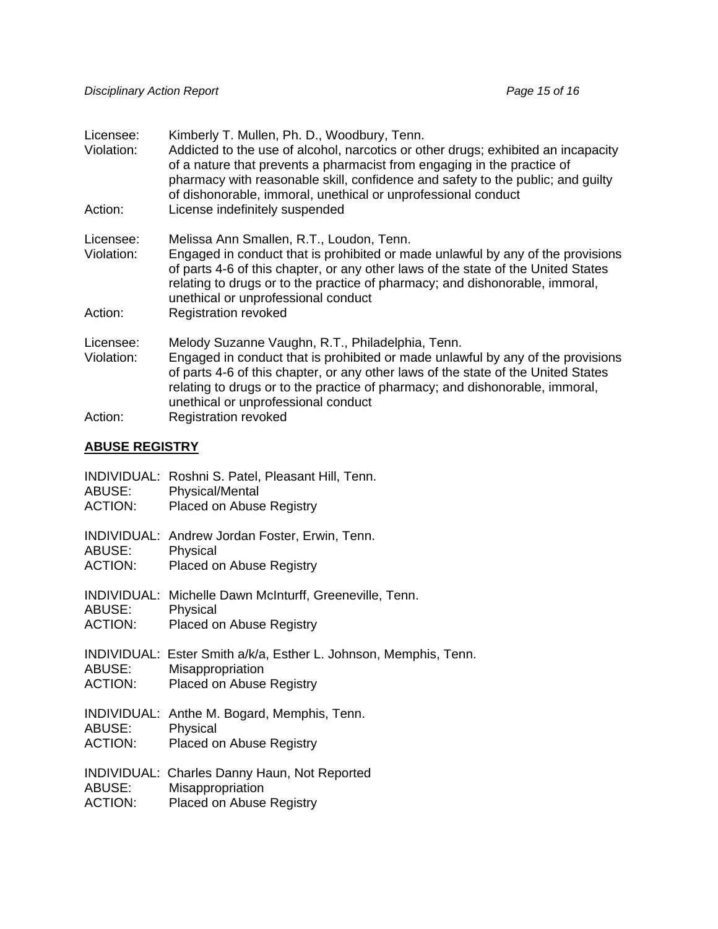| Licensee:<br>Violation: | Kimberly T. Mullen, Ph. D., Woodbury, Tenn.<br>Addicted to the use of alcohol, narcotics or other drugs; exhibited an incapacity<br>of a nature that prevents a pharmacist from engaging in the practice of<br>pharmacy with reasonable skill, confidence and safety to the public; and guilty<br>of dishonorable, immoral, unethical or unprofessional conduct |
|-------------------------|-----------------------------------------------------------------------------------------------------------------------------------------------------------------------------------------------------------------------------------------------------------------------------------------------------------------------------------------------------------------|
| Action:                 | License indefinitely suspended                                                                                                                                                                                                                                                                                                                                  |
| Licensee:<br>Violation: | Melissa Ann Smallen, R.T., Loudon, Tenn.<br>Engaged in conduct that is prohibited or made unlawful by any of the provisions<br>of parts 4-6 of this chapter, or any other laws of the state of the United States<br>relating to drugs or to the practice of pharmacy; and dishonorable, immoral,<br>unethical or unprofessional conduct                         |
| Action:                 | <b>Registration revoked</b>                                                                                                                                                                                                                                                                                                                                     |
| Licensee:<br>Violation: | Melody Suzanne Vaughn, R.T., Philadelphia, Tenn.<br>Engaged in conduct that is prohibited or made unlawful by any of the provisions<br>of parts 4-6 of this chapter, or any other laws of the state of the United States<br>relating to drugs or to the practice of pharmacy; and dishonorable, immoral,<br>unethical or unprofessional conduct                 |
| Action:                 | <b>Registration revoked</b>                                                                                                                                                                                                                                                                                                                                     |

### **ABUSE REGISTRY**

| ABUSE:<br><b>ACTION:</b> | INDIVIDUAL: Roshni S. Patel, Pleasant Hill, Tenn.<br><b>Physical/Mental</b><br>Placed on Abuse Registry                 |
|--------------------------|-------------------------------------------------------------------------------------------------------------------------|
| ABUSE:<br>ACTION:        | <b>INDIVIDUAL: Andrew Jordan Foster, Erwin, Tenn.</b><br>Physical<br><b>Placed on Abuse Registry</b>                    |
| ABUSE:<br><b>ACTION:</b> | INDIVIDUAL: Michelle Dawn McInturff, Greeneville, Tenn.<br>Physical<br>Placed on Abuse Registry                         |
| ABUSE:<br><b>ACTION:</b> | INDIVIDUAL: Ester Smith a/k/a, Esther L. Johnson, Memphis, Tenn.<br>Misappropriation<br><b>Placed on Abuse Registry</b> |
| ABUSE:<br><b>ACTION:</b> | INDIVIDUAL: Anthe M. Bogard, Memphis, Tenn.<br>Physical<br><b>Placed on Abuse Registry</b>                              |
| ABUSE:<br><b>ACTION:</b> | INDIVIDUAL: Charles Danny Haun, Not Reported<br>Misappropriation<br><b>Placed on Abuse Registry</b>                     |